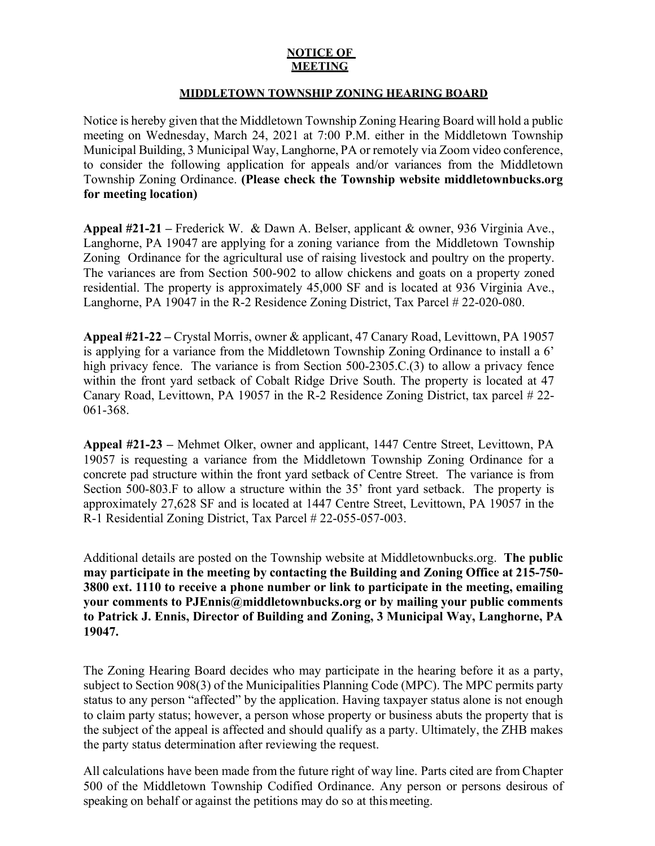## **NOTICE OF MEETING**

## **MIDDLETOWN TOWNSHIP ZONING HEARING BOARD**

Notice is hereby given that the Middletown Township Zoning Hearing Board will hold a public meeting on Wednesday, March 24, 2021 at 7:00 P.M. either in the Middletown Township Municipal Building, 3 Municipal Way, Langhorne, PA or remotely via Zoom video conference, to consider the following application for appeals and/or variances from the Middletown Township Zoning Ordinance. **(Please check the Township website middletownbucks.org for meeting location)** 

**Appeal #21-21 –** Frederick W. & Dawn A. Belser, applicant & owner, 936 Virginia Ave., Langhorne, PA 19047 are applying for a zoning variance from the Middletown Township Zoning Ordinance for the agricultural use of raising livestock and poultry on the property. The variances are from Section 500-902 to allow chickens and goats on a property zoned residential. The property is approximately 45,000 SF and is located at 936 Virginia Ave., Langhorne, PA 19047 in the R-2 Residence Zoning District, Tax Parcel # 22-020-080.

**Appeal #21-22 –** Crystal Morris, owner & applicant, 47 Canary Road, Levittown, PA 19057 is applying for a variance from the Middletown Township Zoning Ordinance to install a 6' high privacy fence. The variance is from Section 500-2305.C.(3) to allow a privacy fence within the front yard setback of Cobalt Ridge Drive South. The property is located at 47 Canary Road, Levittown, PA 19057 in the R-2 Residence Zoning District, tax parcel # 22- 061-368.

**Appeal #21-23 –** Mehmet Olker, owner and applicant, 1447 Centre Street, Levittown, PA 19057 is requesting a variance from the Middletown Township Zoning Ordinance for a concrete pad structure within the front yard setback of Centre Street. The variance is from Section 500-803.F to allow a structure within the 35' front yard setback. The property is approximately 27,628 SF and is located at 1447 Centre Street, Levittown, PA 19057 in the R-1 Residential Zoning District, Tax Parcel # 22-055-057-003.

Additional details are posted on the Township website at Middletownbucks.org. **The public may participate in the meeting by contacting the Building and Zoning Office at 215-750- 3800 ext. 1110 to receive a phone number or link to participate in the meeting, emailing your comments to PJEnnis@middletownbucks.org or by mailing your public comments to Patrick J. Ennis, Director of Building and Zoning, 3 Municipal Way, Langhorne, PA 19047.** 

The Zoning Hearing Board decides who may participate in the hearing before it as a party, subject to Section 908(3) of the Municipalities Planning Code (MPC). The MPC permits party status to any person "affected" by the application. Having taxpayer status alone is not enough to claim party status; however, a person whose property or business abuts the property that is the subject of the appeal is affected and should qualify as a party. Ultimately, the ZHB makes the party status determination after reviewing the request.

All calculations have been made from the future right of way line. Parts cited are from Chapter 500 of the Middletown Township Codified Ordinance. Any person or persons desirous of speaking on behalf or against the petitions may do so at this meeting.